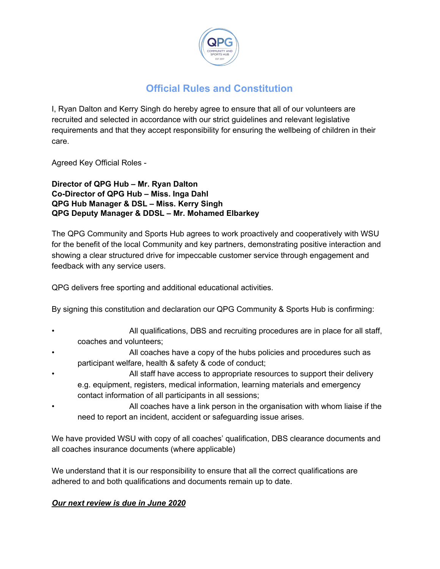

## **Official Rules and Constitution**

I, Ryan Dalton and Kerry Singh do hereby agree to ensure that all of our volunteers are recruited and selected in accordance with our strict guidelines and relevant legislative requirements and that they accept responsibility for ensuring the wellbeing of children in their care.

Agreed Key Official Roles -

**Director of QPG Hub – Mr. Ryan Dalton Co-Director of QPG Hub – Miss. Inga Dahl QPG Hub Manager & DSL – Miss. Kerry Singh QPG Deputy Manager & DDSL – Mr. Mohamed Elbarkey**

The QPG Community and Sports Hub agrees to work proactively and cooperatively with WSU for the benefit of the local Community and key partners, demonstrating positive interaction and showing a clear structured drive for impeccable customer service through engagement and feedback with any service users.

QPG delivers free sporting and additional educational activities.

By signing this constitution and declaration our QPG Community & Sports Hub is confirming:

- All qualifications, DBS and recruiting procedures are in place for all staff, coaches and volunteers;
- All coaches have a copy of the hubs policies and procedures such as participant welfare, health & safety & code of conduct;
- All staff have access to appropriate resources to support their delivery e.g. equipment, registers, medical information, learning materials and emergency contact information of all participants in all sessions;
- All coaches have a link person in the organisation with whom liaise if the need to report an incident, accident or safeguarding issue arises.

We have provided WSU with copy of all coaches' qualification, DBS clearance documents and all coaches insurance documents (where applicable)

We understand that it is our responsibility to ensure that all the correct qualifications are adhered to and both qualifications and documents remain up to date.

## *Our next review is due in June 2020*